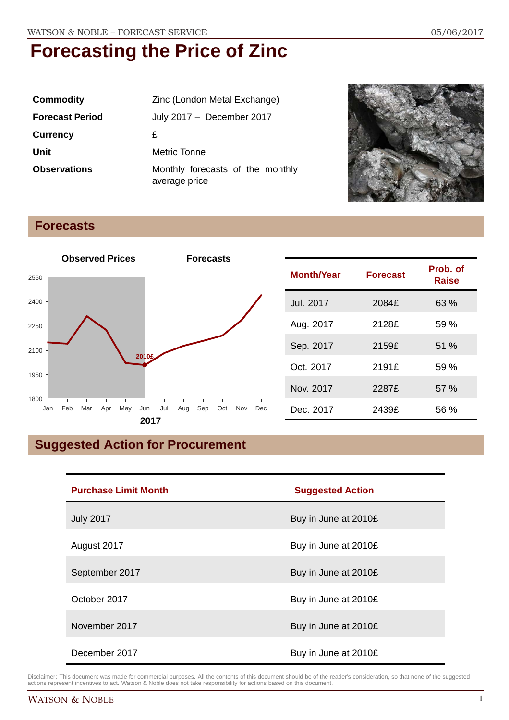| <b>Commodity</b>       | Zinc (London Metal Exchange)                      |
|------------------------|---------------------------------------------------|
| <b>Forecast Period</b> | July 2017 - December 2017                         |
| <b>Currency</b>        | £                                                 |
| Unit                   | Metric Tonne                                      |
| <b>Observations</b>    | Monthly forecasts of the monthly<br>average price |



### **Forecasts**



## **Suggested Action for Procurement**

| <b>Purchase Limit Month</b> | <b>Suggested Action</b> |
|-----------------------------|-------------------------|
| <b>July 2017</b>            | Buy in June at 2010£    |
| August 2017                 | Buy in June at 2010£    |
| September 2017              | Buy in June at 2010£    |
| October 2017                | Buy in June at 2010£    |
| November 2017               | Buy in June at 2010£    |
| December 2017               | Buy in June at 2010£    |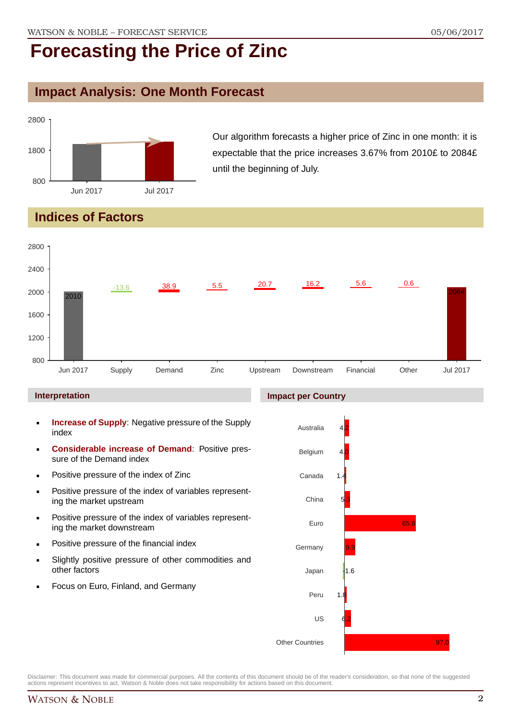## **Impact Analysis: One Month Forecast**



Our algorithm forecasts a higher price of Zinc in one month: it is expectable that the price increases 3.67% from 2010£ to 2084£ until the beginning of July.

## **Indices of Factors**



#### **Interpretation**

- **Increase of Supply**: Negative pressure of the Supply index
- **Considerable increase of Demand**: Positive pressure of the Demand index
- **Positive pressure of the index of Zinc**
- Positive pressure of the index of variables representing the market upstream
- **Positive pressure of the index of variables represent**ing the market downstream
- **•** Positive pressure of the financial index
- Slightly positive pressure of other commodities and other factors
- Focus on Euro, Finland, and Germany

### **Impact per Country**

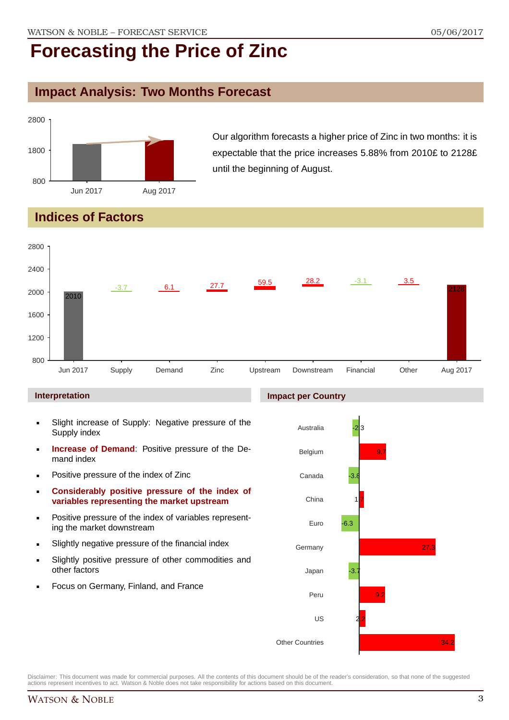## **Impact Analysis: Two Months Forecast**



Our algorithm forecasts a higher price of Zinc in two months: it is expectable that the price increases 5.88% from 2010£ to 2128£ until the beginning of August.

## **Indices of Factors**



#### **Interpretation**

- Slight increase of Supply: Negative pressure of the Supply index
- **Increase of Demand**: Positive pressure of the Demand index
- **Positive pressure of the index of Zinc**
- **Considerably positive pressure of the index of variables representing the market upstream**
- Positive pressure of the index of variables representing the market downstream
- Slightly negative pressure of the financial index
- Slightly positive pressure of other commodities and other factors
- Focus on Germany, Finland, and France

#### **Impact per Country**

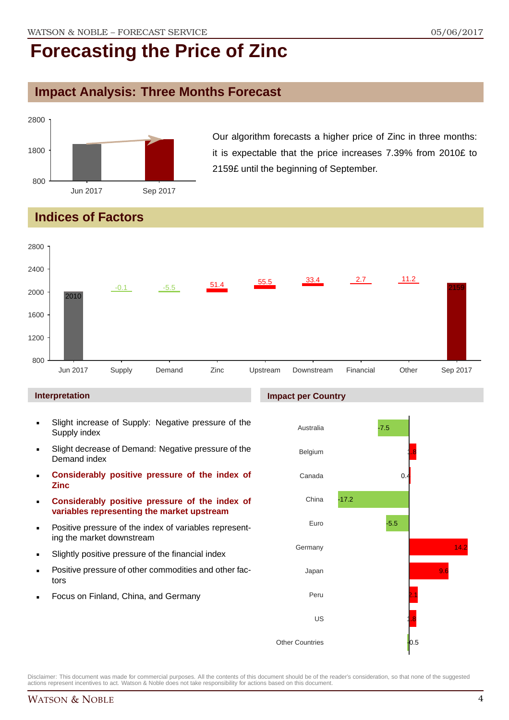## **Impact Analysis: Three Months Forecast**



Our algorithm forecasts a higher price of Zinc in three months: it is expectable that the price increases 7.39% from 2010£ to 2159£ until the beginning of September.

## **Indices of Factors**



#### **Interpretation**

- Slight increase of Supply: Negative pressure of the Supply index
- Slight decrease of Demand: Negative pressure of the Demand index
- **Considerably positive pressure of the index of Zinc**
- **Considerably positive pressure of the index of variables representing the market upstream**
- Positive pressure of the index of variables representing the market downstream
- Slightly positive pressure of the financial index
- Positive pressure of other commodities and other factors
- Focus on Finland, China, and Germany

#### **Impact per Country**

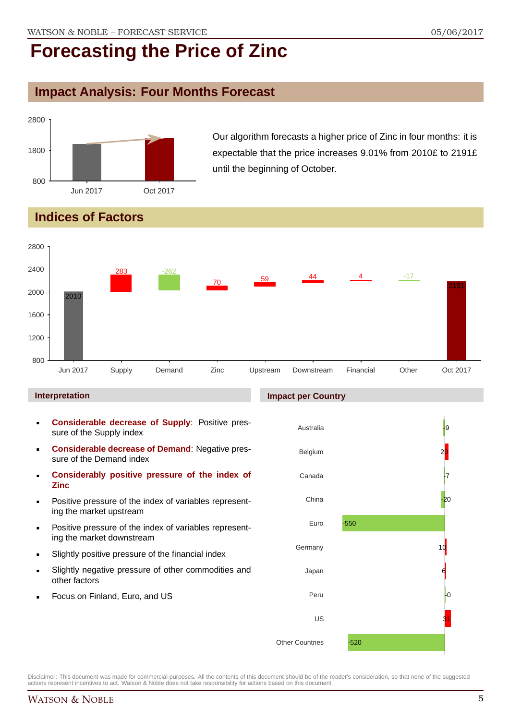## **Impact Analysis: Four Months Forecast**



Our algorithm forecasts a higher price of Zinc in four months: it is expectable that the price increases 9.01% from 2010£ to 2191£ until the beginning of October.

## **Indices of Factors**



#### **Interpretation**

- **Considerable decrease of Supply**: Positive pressure of the Supply index
- **Considerable decrease of Demand**: Negative pressure of the Demand index
- **Considerably positive pressure of the index of Zinc**
- Positive pressure of the index of variables representing the market upstream
- Positive pressure of the index of variables representing the market downstream
- Slightly positive pressure of the financial index
- Slightly negative pressure of other commodities and other factors
- Focus on Finland, Euro, and US

#### **Impact per Country**

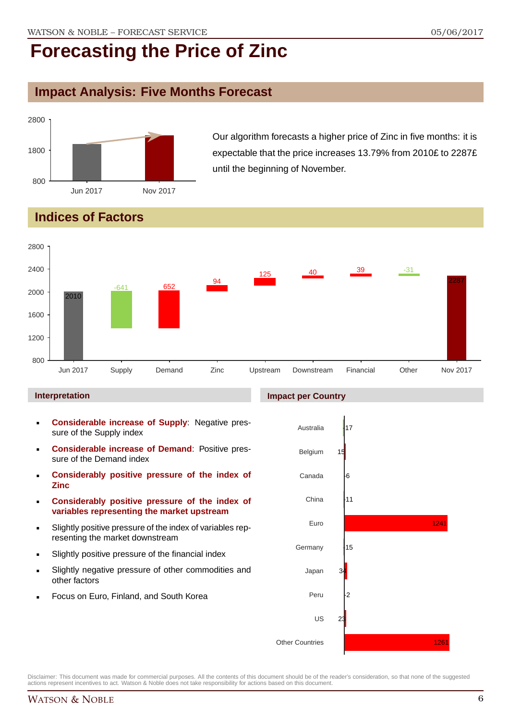## **Impact Analysis: Five Months Forecast**



Our algorithm forecasts a higher price of Zinc in five months: it is expectable that the price increases 13.79% from 2010£ to 2287£ until the beginning of November.

## **Indices of Factors**



#### **Interpretation**

- **Considerable increase of Supply**: Negative pressure of the Supply index
- **Considerable increase of Demand**: Positive pressure of the Demand index
- **Considerably positive pressure of the index of Zinc**
- **Considerably positive pressure of the index of variables representing the market upstream**
- Slightly positive pressure of the index of variables representing the market downstream
- Slightly positive pressure of the financial index
- Slightly negative pressure of other commodities and other factors
- Focus on Euro, Finland, and South Korea

#### **Impact per Country**

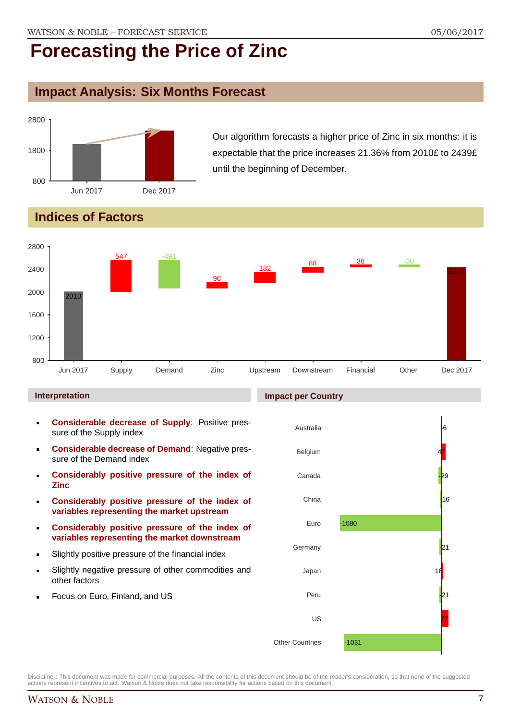## **Impact Analysis: Six Months Forecast**



Our algorithm forecasts a higher price of Zinc in six months: it is expectable that the price increases 21.36% from 2010£ to 2439£ until the beginning of December.

## **Indices of Factors**



#### **Interpretation**

- **Considerable decrease of Supply**: Positive pressure of the Supply index
- **Considerable decrease of Demand**: Negative pressure of the Demand index
- **Considerably positive pressure of the index of Zinc**
- **Considerably positive pressure of the index of variables representing the market upstream**
- **Considerably positive pressure of the index of variables representing the market downstream**
- Slightly positive pressure of the financial index
- Slightly negative pressure of other commodities and other factors
- Focus on Euro, Finland, and US

#### **Impact per Country**

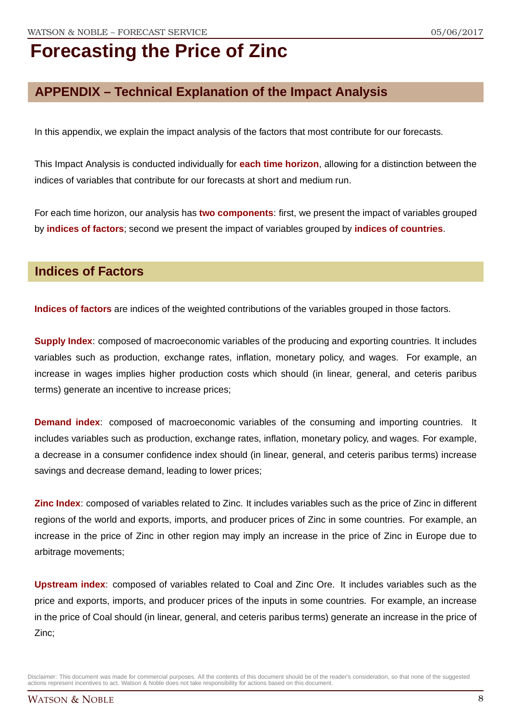## **APPENDIX – Technical Explanation of the Impact Analysis**

In this appendix, we explain the impact analysis of the factors that most contribute for our forecasts.

This Impact Analysis is conducted individually for **each time horizon**, allowing for a distinction between the indices of variables that contribute for our forecasts at short and medium run.

For each time horizon, our analysis has **two components**: first, we present the impact of variables grouped by **indices of factors**; second we present the impact of variables grouped by **indices of countries**.

### **Indices of Factors**

**Indices of factors** are indices of the weighted contributions of the variables grouped in those factors.

**Supply Index**: composed of macroeconomic variables of the producing and exporting countries. It includes variables such as production, exchange rates, inflation, monetary policy, and wages. For example, an increase in wages implies higher production costs which should (in linear, general, and ceteris paribus terms) generate an incentive to increase prices;

**Demand index**: composed of macroeconomic variables of the consuming and importing countries. It includes variables such as production, exchange rates, inflation, monetary policy, and wages. For example, a decrease in a consumer confidence index should (in linear, general, and ceteris paribus terms) increase savings and decrease demand, leading to lower prices;

**Zinc Index**: composed of variables related to Zinc. It includes variables such as the price of Zinc in different regions of the world and exports, imports, and producer prices of Zinc in some countries. For example, an increase in the price of Zinc in other region may imply an increase in the price of Zinc in Europe due to arbitrage movements;

**Upstream index**: composed of variables related to Coal and Zinc Ore. It includes variables such as the price and exports, imports, and producer prices of the inputs in some countries. For example, an increase in the price of Coal should (in linear, general, and ceteris paribus terms) generate an increase in the price of Zinc;